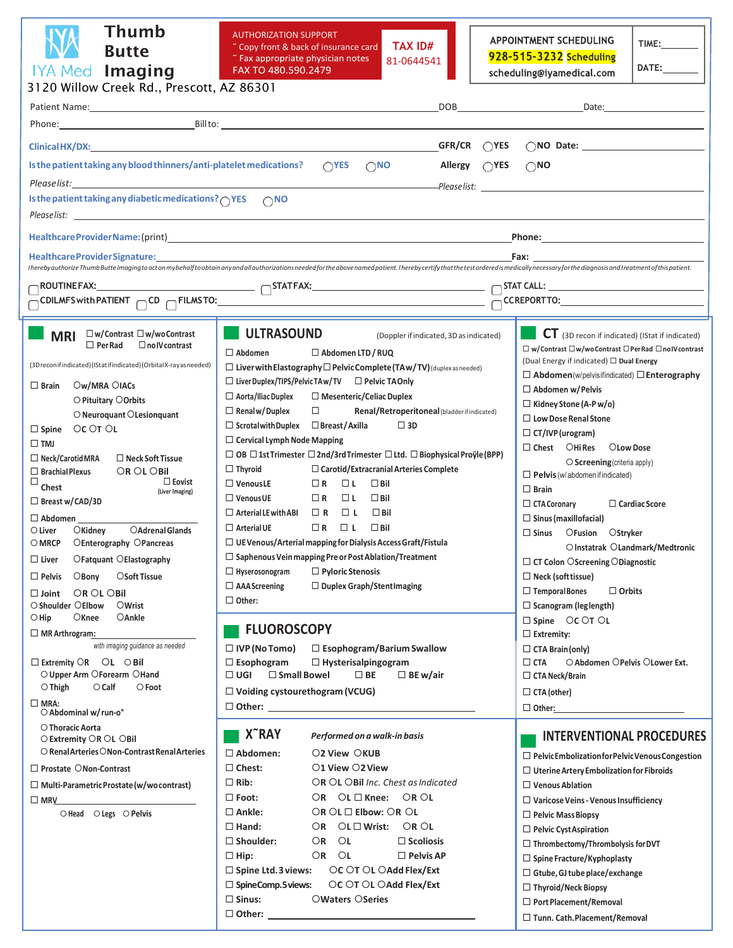| <b>Thumb</b><br><b>Butte</b><br>IYA Med Imaging<br>3120 Willow Creek Rd., Prescott, AZ 86301                                                                                                                                                                                                                                                                                                                                                                                                                                                                                                                                                                                                                                                                                                                                                                                                                                                                                                             | <b>AUTHORIZATION SUPPORT</b><br><b>TAX ID#</b><br>" Copy front & back of insurance card<br>" Fax appropriate physician notes<br>81-0644541<br>FAX TO 480.590.2479                                                                                                                                                                                                                                                                                                                                                                                                                                                                                                                                                                                                                                                                                                                                                                                                                                                                                                                                                                                                                                                                                                                                                                                                                                                                                                               | <b>APPOINTMENT SCHEDULING</b><br><b>TIME:________</b><br>928-515-3232 Scheduling<br>DATE:<br>scheduling@iyamedical.com                                                                                                                                                                                                                                                                                                                                                                                                                                                                                                                                                                                                                                                                                                                                                                                                                                               |  |
|----------------------------------------------------------------------------------------------------------------------------------------------------------------------------------------------------------------------------------------------------------------------------------------------------------------------------------------------------------------------------------------------------------------------------------------------------------------------------------------------------------------------------------------------------------------------------------------------------------------------------------------------------------------------------------------------------------------------------------------------------------------------------------------------------------------------------------------------------------------------------------------------------------------------------------------------------------------------------------------------------------|---------------------------------------------------------------------------------------------------------------------------------------------------------------------------------------------------------------------------------------------------------------------------------------------------------------------------------------------------------------------------------------------------------------------------------------------------------------------------------------------------------------------------------------------------------------------------------------------------------------------------------------------------------------------------------------------------------------------------------------------------------------------------------------------------------------------------------------------------------------------------------------------------------------------------------------------------------------------------------------------------------------------------------------------------------------------------------------------------------------------------------------------------------------------------------------------------------------------------------------------------------------------------------------------------------------------------------------------------------------------------------------------------------------------------------------------------------------------------------|----------------------------------------------------------------------------------------------------------------------------------------------------------------------------------------------------------------------------------------------------------------------------------------------------------------------------------------------------------------------------------------------------------------------------------------------------------------------------------------------------------------------------------------------------------------------------------------------------------------------------------------------------------------------------------------------------------------------------------------------------------------------------------------------------------------------------------------------------------------------------------------------------------------------------------------------------------------------|--|
|                                                                                                                                                                                                                                                                                                                                                                                                                                                                                                                                                                                                                                                                                                                                                                                                                                                                                                                                                                                                          | DOB                                                                                                                                                                                                                                                                                                                                                                                                                                                                                                                                                                                                                                                                                                                                                                                                                                                                                                                                                                                                                                                                                                                                                                                                                                                                                                                                                                                                                                                                             | Date:                                                                                                                                                                                                                                                                                                                                                                                                                                                                                                                                                                                                                                                                                                                                                                                                                                                                                                                                                                |  |
|                                                                                                                                                                                                                                                                                                                                                                                                                                                                                                                                                                                                                                                                                                                                                                                                                                                                                                                                                                                                          |                                                                                                                                                                                                                                                                                                                                                                                                                                                                                                                                                                                                                                                                                                                                                                                                                                                                                                                                                                                                                                                                                                                                                                                                                                                                                                                                                                                                                                                                                 |                                                                                                                                                                                                                                                                                                                                                                                                                                                                                                                                                                                                                                                                                                                                                                                                                                                                                                                                                                      |  |
| GFR/CR $\bigcirc$ YES<br>Clinical HX/DX: New York: New York: New York: New York: New York: New York: New York: New York: New York: New York: New York: New York: New York: New York: New York: New York: New York: New York: New York: New York: New Yo<br>$\bigcap$ NO Date:                                                                                                                                                                                                                                                                                                                                                                                                                                                                                                                                                                                                                                                                                                                            |                                                                                                                                                                                                                                                                                                                                                                                                                                                                                                                                                                                                                                                                                                                                                                                                                                                                                                                                                                                                                                                                                                                                                                                                                                                                                                                                                                                                                                                                                 |                                                                                                                                                                                                                                                                                                                                                                                                                                                                                                                                                                                                                                                                                                                                                                                                                                                                                                                                                                      |  |
| Is the patient taking any blood thinners/anti-platelet medications?<br>$\bigcap$ YES $\bigcap$ NO<br>Allergy (YES<br>$\bigcirc$ NO                                                                                                                                                                                                                                                                                                                                                                                                                                                                                                                                                                                                                                                                                                                                                                                                                                                                       |                                                                                                                                                                                                                                                                                                                                                                                                                                                                                                                                                                                                                                                                                                                                                                                                                                                                                                                                                                                                                                                                                                                                                                                                                                                                                                                                                                                                                                                                                 |                                                                                                                                                                                                                                                                                                                                                                                                                                                                                                                                                                                                                                                                                                                                                                                                                                                                                                                                                                      |  |
|                                                                                                                                                                                                                                                                                                                                                                                                                                                                                                                                                                                                                                                                                                                                                                                                                                                                                                                                                                                                          |                                                                                                                                                                                                                                                                                                                                                                                                                                                                                                                                                                                                                                                                                                                                                                                                                                                                                                                                                                                                                                                                                                                                                                                                                                                                                                                                                                                                                                                                                 |                                                                                                                                                                                                                                                                                                                                                                                                                                                                                                                                                                                                                                                                                                                                                                                                                                                                                                                                                                      |  |
| Is the patient taking any diabetic medications? OYES ONO                                                                                                                                                                                                                                                                                                                                                                                                                                                                                                                                                                                                                                                                                                                                                                                                                                                                                                                                                 |                                                                                                                                                                                                                                                                                                                                                                                                                                                                                                                                                                                                                                                                                                                                                                                                                                                                                                                                                                                                                                                                                                                                                                                                                                                                                                                                                                                                                                                                                 |                                                                                                                                                                                                                                                                                                                                                                                                                                                                                                                                                                                                                                                                                                                                                                                                                                                                                                                                                                      |  |
|                                                                                                                                                                                                                                                                                                                                                                                                                                                                                                                                                                                                                                                                                                                                                                                                                                                                                                                                                                                                          |                                                                                                                                                                                                                                                                                                                                                                                                                                                                                                                                                                                                                                                                                                                                                                                                                                                                                                                                                                                                                                                                                                                                                                                                                                                                                                                                                                                                                                                                                 | <b>Phone:</b> The contract of the contract of the contract of the contract of the contract of the contract of the contract of the contract of the contract of the contract of the contract of the contract of the contract of the c                                                                                                                                                                                                                                                                                                                                                                                                                                                                                                                                                                                                                                                                                                                                  |  |
| Healthcare Provider Signature:                                                                                                                                                                                                                                                                                                                                                                                                                                                                                                                                                                                                                                                                                                                                                                                                                                                                                                                                                                           |                                                                                                                                                                                                                                                                                                                                                                                                                                                                                                                                                                                                                                                                                                                                                                                                                                                                                                                                                                                                                                                                                                                                                                                                                                                                                                                                                                                                                                                                                 | Fax: the contract of the contract of the contract of the contract of the contract of the contract of the contract of the contract of the contract of the contract of the contract of the contract of the contract of the contr                                                                                                                                                                                                                                                                                                                                                                                                                                                                                                                                                                                                                                                                                                                                       |  |
| Iherebyauthorize ThumbButte Imaging to act on mybehalf to obtain anyand all authorizations needed for the above named patient. Ihereby certify that the test ordered is medically necessary for the diagnosis and treatment of                                                                                                                                                                                                                                                                                                                                                                                                                                                                                                                                                                                                                                                                                                                                                                           |                                                                                                                                                                                                                                                                                                                                                                                                                                                                                                                                                                                                                                                                                                                                                                                                                                                                                                                                                                                                                                                                                                                                                                                                                                                                                                                                                                                                                                                                                 |                                                                                                                                                                                                                                                                                                                                                                                                                                                                                                                                                                                                                                                                                                                                                                                                                                                                                                                                                                      |  |
|                                                                                                                                                                                                                                                                                                                                                                                                                                                                                                                                                                                                                                                                                                                                                                                                                                                                                                                                                                                                          |                                                                                                                                                                                                                                                                                                                                                                                                                                                                                                                                                                                                                                                                                                                                                                                                                                                                                                                                                                                                                                                                                                                                                                                                                                                                                                                                                                                                                                                                                 |                                                                                                                                                                                                                                                                                                                                                                                                                                                                                                                                                                                                                                                                                                                                                                                                                                                                                                                                                                      |  |
|                                                                                                                                                                                                                                                                                                                                                                                                                                                                                                                                                                                                                                                                                                                                                                                                                                                                                                                                                                                                          |                                                                                                                                                                                                                                                                                                                                                                                                                                                                                                                                                                                                                                                                                                                                                                                                                                                                                                                                                                                                                                                                                                                                                                                                                                                                                                                                                                                                                                                                                 |                                                                                                                                                                                                                                                                                                                                                                                                                                                                                                                                                                                                                                                                                                                                                                                                                                                                                                                                                                      |  |
| □w/Contrast □w/woContrast<br><b>MRI</b><br>$\Box$ Per Rad<br>$\square$ no IV contrast<br>(3Dreconifindicated)(IStatifindicated)(OrbitalX-rayasneeded)<br>Ow/MRA OIACs<br>$\Box$ Brain<br>O Pituitary O Orbits<br>O Neuroquant O Lesionquant<br>OC OT OL<br>$\Box$ Spine<br>$\square$ TMJ<br>$\Box$ Neck/Carotid MRA<br>$\Box$ Neck Soft Tissue<br>OR OL OBII<br>$\Box$ Brachial Plexus<br>□<br>$\Box$ Eovist<br>Chest<br>(Liver Imaging)<br>$\Box$ Breast w/CAD/3D<br>$\Box$ Abdomen<br>OAdrenal Glands<br>$\bigcirc$ Liver<br><b>O</b> Kidney<br>$\circ$ MRCP $\circ$ CEnterography OPancreas<br>$\Box$<br>Liver<br>OFatquant OElastography<br>$O$ Bony<br>OSoft Tissue<br>$\Box$ Pelvis<br>OR OL OBII<br>$\square$ Joint<br>○ Shoulder ○ Elbow<br>OWrist<br>OKnee<br>OAnkle<br>$\bigcirc$ Hip<br>□ MR Arthrogram:<br>with imaging guidance as needed<br>$\Box$ Extremity $\bigcirc$ R $\bigcirc$ L $\bigcirc$ Bil<br>O Upper Arm OForearm OHand<br>$\bigcirc$ Thigh<br>$\bigcirc$ Calf<br>$\circ$ Foot | <b>ULTRASOUND</b><br>(Doppler if indicated, 3D as indicated)<br>$\Box$ Abdomen<br>$\Box$ Abdomen LTD / RUQ<br>$\Box$ Liver with Elastography $\Box$ Pelvic Complete (TAw/TV) (duplex as needed)<br>$\Box$ Liver Duplex/TIPS/Pelvic TA w/TV $\Box$ Pelvic TA Only<br>$\Box$ Mesenteric/Celiac Duplex<br>$\Box$ Aorta/Iliac Duplex<br>$\Box$ Renal w/Duplex<br>$\Box$<br>Renal/Retroperitoneal (bladder if indicated)<br>$\Box$ Scrotal with Duplex $\Box$ Breast / Axilla<br>$\square$ 3D<br>$\Box$ Cervical Lymph Node Mapping<br>$\Box$ OB $\Box$ 1st Trimester $\Box$ 2nd/3rd Trimester $\Box$ Ltd. $\Box$ Biophysical Proÿle (BPP)<br>$\Box$ Thyroid<br>$\Box$ Carotid/Extracranial Arteries Complete<br>$\Box$ Venous LE<br>$\Box$ R $\Box$ L<br>$\square$ Bil<br>$\Box$ Venous UE<br>$\Box$ R $\Box$ L<br>$\Box$ Bil<br>$\Box R$ $\Box L$<br>$\Box$ Bil<br>$\Box$ Arterial LE with ABI<br>$\Box$ Arterial UE<br>$\Box$ R $\Box$ L<br>$\Box$ Bil<br>$\Box$ UE Venous/Arterial mapping for Dialysis Access Graft/Fistula<br>$\Box$ Saphenous Vein mapping Pre or Post Ablation/Treatment<br>$\Box$ Pyloric Stenosis<br>$\Box$ Hyserosonogram<br>$\Box$ AAA Screening<br>$\Box$ Duplex Graph/StentImaging<br>$\Box$ Other:<br><b>FLUOROSCOPY</b><br>$\Box$ IVP (No Tomo)<br>$\Box$ Esophogram/Barium Swallow<br>$\Box$ Esophogram<br>$\Box$ Hysterisalpingogram<br>$\square$ Small Bowel<br>$\Box$ BE w/air<br>□ UGI<br>$\square$ BE<br>$\Box$ Voiding cystourethogram (VCUG) | CT (3D recon if indicated) (IStat if indicated)<br>□ w/Contrast □ w/woContrast □ Per Rad □ noIV contrast<br>(Dual Energy if indicated) □ Dual Energy<br>□ Abdomen(w/pelvisifindicated) □ Enterography<br>$\Box$ Abdomen w/Pelvis<br>□ Kidney Stone (A-P w/o)<br>$\Box$ Low Dose Renal Stone<br>$\Box$ CT/IVP (urogram)<br>$\Box$ Chest $\Box$ Chires<br>OLow Dose<br>$\bigcirc$ Screening (criteria apply)<br>$\Box$ Pelvis (w/abdomen if indicated)<br>$\Box$ Brain<br>$\Box$ CTA Coronary<br>$\Box$ Cardiac Score<br>$\Box$ Sinus (maxillofacial)<br>$\square$ Sinus<br>OFusion OStryker<br>O Instatrak O Landmark/Medtronic<br>□ CT Colon OScreening ODiagnostic<br>$\Box$ Neck (soft tissue)<br>$\Box$ Orbits<br>$\Box$ Temporal Bones<br>$\Box$ Scanogram (leglength)<br>$\Box$ Spine $\Box$ CC $\Box$ T $\Box$ L<br>$\Box$ Extremity:<br>$\Box$ CTA Brain (only)<br>○ Abdomen OPelvis OLower Ext.<br>$\Box$ CTA<br>$\Box$ CTA Neck/Brain<br>$\Box$ CTA (other) |  |
| $\square$ MRA:<br>O Abdominal w/run-o°                                                                                                                                                                                                                                                                                                                                                                                                                                                                                                                                                                                                                                                                                                                                                                                                                                                                                                                                                                   |                                                                                                                                                                                                                                                                                                                                                                                                                                                                                                                                                                                                                                                                                                                                                                                                                                                                                                                                                                                                                                                                                                                                                                                                                                                                                                                                                                                                                                                                                 | $\Box$ Other:                                                                                                                                                                                                                                                                                                                                                                                                                                                                                                                                                                                                                                                                                                                                                                                                                                                                                                                                                        |  |
| O Thoracic Aorta<br>○ Extremity OR OL OBil<br>○ Renal Arteries ○ Non-Contrast Renal Arteries<br>$\Box$ Prostate $\bigcirc$ Non-Contrast<br>$\Box$ Multi-Parametric Prostate (w/wo contrast)<br>$\square$ MRV<br>$\bigcirc$ Head $\bigcirc$ Legs $\bigcirc$ Pelvis                                                                                                                                                                                                                                                                                                                                                                                                                                                                                                                                                                                                                                                                                                                                        | <b>X<sup>~</sup>RAY</b><br>Performed on a walk-in basis<br>□ Abdomen:<br>O2 View OKUB<br>$\Box$ Chest:<br>$\bigcirc$ 1 View $\bigcirc$ 2 View<br>$\Box$ Rib:<br>OR OL OBil Inc. Chest as Indicated<br>OR $OL$ $\Box$ Knee: OR OL<br>$\square$ Foot:<br>$\square$ Ankle:<br>$OR$ $OL$ $\square$ Elbow: $OR$ $OL$<br>OR $OL \square$ Wrist: OR OL<br>$\square$ Hand:<br>$OR$ $OL$<br>$\square$ Shoulder:<br>$\Box$ Scoliosis<br>OR OL<br>$\square$ Hip:<br>$\Box$ Pelvis AP<br>$\Box$ Spine Ltd.3 views:<br>OC OT OL OAdd Flex/Ext<br>$\Box$ SpineComp.5 views:<br>OC OT OL OAdd Flex/Ext                                                                                                                                                                                                                                                                                                                                                                                                                                                                                                                                                                                                                                                                                                                                                                                                                                                                                         | <b>INTERVENTIONAL PROCEDURES</b><br>$\Box$ PelvicEmbolization for Pelvic Venous Congestion<br>$\Box$ Uterine Artery Embolization for Fibroids<br>$\Box$ Venous Ablation<br>$\Box$ Varicose Veins - Venous Insufficiency<br>$\Box$ Pelvic Mass Biopsy<br>$\Box$ Pelvic Cyst Aspiration<br>$\Box$ Thrombectomy/Thrombolysis for DVT<br>$\Box$ Spine Fracture/Kyphoplasty<br>$\Box$ Gtube, GJ tube place/exchange<br>$\Box$ Thyroid/Neck Biopsy                                                                                                                                                                                                                                                                                                                                                                                                                                                                                                                         |  |
|                                                                                                                                                                                                                                                                                                                                                                                                                                                                                                                                                                                                                                                                                                                                                                                                                                                                                                                                                                                                          | $\square$ Sinus:<br><b>OWaters OSeries</b><br>$\Box$ Other:                                                                                                                                                                                                                                                                                                                                                                                                                                                                                                                                                                                                                                                                                                                                                                                                                                                                                                                                                                                                                                                                                                                                                                                                                                                                                                                                                                                                                     | $\Box$ Port Placement/Removal<br>$\Box$ Tunn. Cath. Placement/Removal                                                                                                                                                                                                                                                                                                                                                                                                                                                                                                                                                                                                                                                                                                                                                                                                                                                                                                |  |